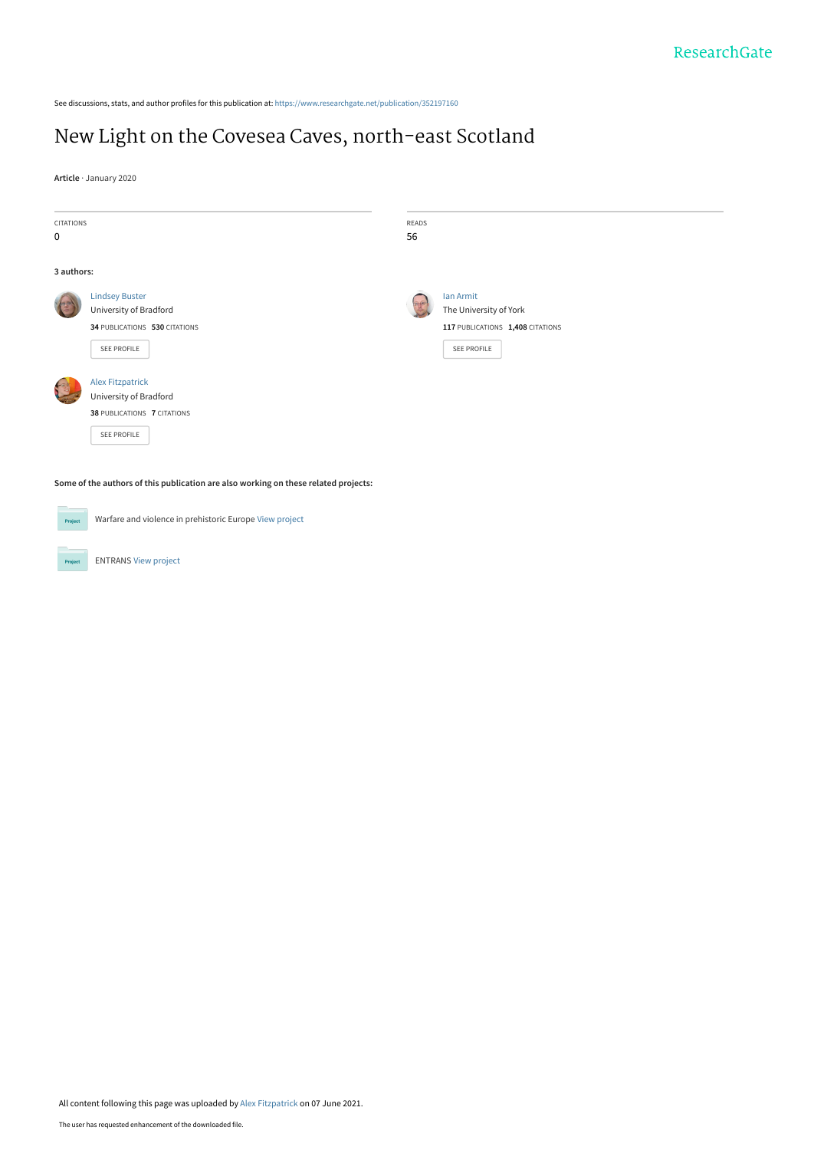See discussions, stats, and author profiles for this publication at: [https://www.researchgate.net/publication/352197160](https://www.researchgate.net/publication/352197160_New_Light_on_the_Covesea_Caves_north-east_Scotland?enrichId=rgreq-336207c4e05b49bdabdde52e3baa3725-XXX&enrichSource=Y292ZXJQYWdlOzM1MjE5NzE2MDtBUzoxMDMyMTE2Mzg5Mjk4MTc2QDE2MjMwODcxMzExMjk%3D&el=1_x_2&_esc=publicationCoverPdf)

# [New Light on the Covesea Caves, north-east Scotland](https://www.researchgate.net/publication/352197160_New_Light_on_the_Covesea_Caves_north-east_Scotland?enrichId=rgreq-336207c4e05b49bdabdde52e3baa3725-XXX&enrichSource=Y292ZXJQYWdlOzM1MjE5NzE2MDtBUzoxMDMyMTE2Mzg5Mjk4MTc2QDE2MjMwODcxMzExMjk%3D&el=1_x_3&_esc=publicationCoverPdf)

**Article** · January 2020

| <b>CITATIONS</b>                                                                    |                                                         | READS |                                                        |
|-------------------------------------------------------------------------------------|---------------------------------------------------------|-------|--------------------------------------------------------|
| 0                                                                                   |                                                         | 56    |                                                        |
| 3 authors:                                                                          |                                                         |       |                                                        |
|                                                                                     | <b>Lindsey Buster</b>                                   |       | lan Armit                                              |
|                                                                                     | University of Bradford<br>34 PUBLICATIONS 530 CITATIONS |       | The University of York                                 |
|                                                                                     | <b>SEE PROFILE</b>                                      |       | 117 PUBLICATIONS 1,408 CITATIONS<br><b>SEE PROFILE</b> |
|                                                                                     | <b>Alex Fitzpatrick</b>                                 |       |                                                        |
|                                                                                     | University of Bradford                                  |       |                                                        |
|                                                                                     | 38 PUBLICATIONS 7 CITATIONS                             |       |                                                        |
|                                                                                     | <b>SEE PROFILE</b>                                      |       |                                                        |
| Some of the authors of this publication are also working on these related projects: |                                                         |       |                                                        |
| Project                                                                             | Warfare and violence in prehistoric Europe View project |       |                                                        |

ENTRANS [View project](https://www.researchgate.net/project/ENTRANS?enrichId=rgreq-336207c4e05b49bdabdde52e3baa3725-XXX&enrichSource=Y292ZXJQYWdlOzM1MjE5NzE2MDtBUzoxMDMyMTE2Mzg5Mjk4MTc2QDE2MjMwODcxMzExMjk%3D&el=1_x_9&_esc=publicationCoverPdf) **Project**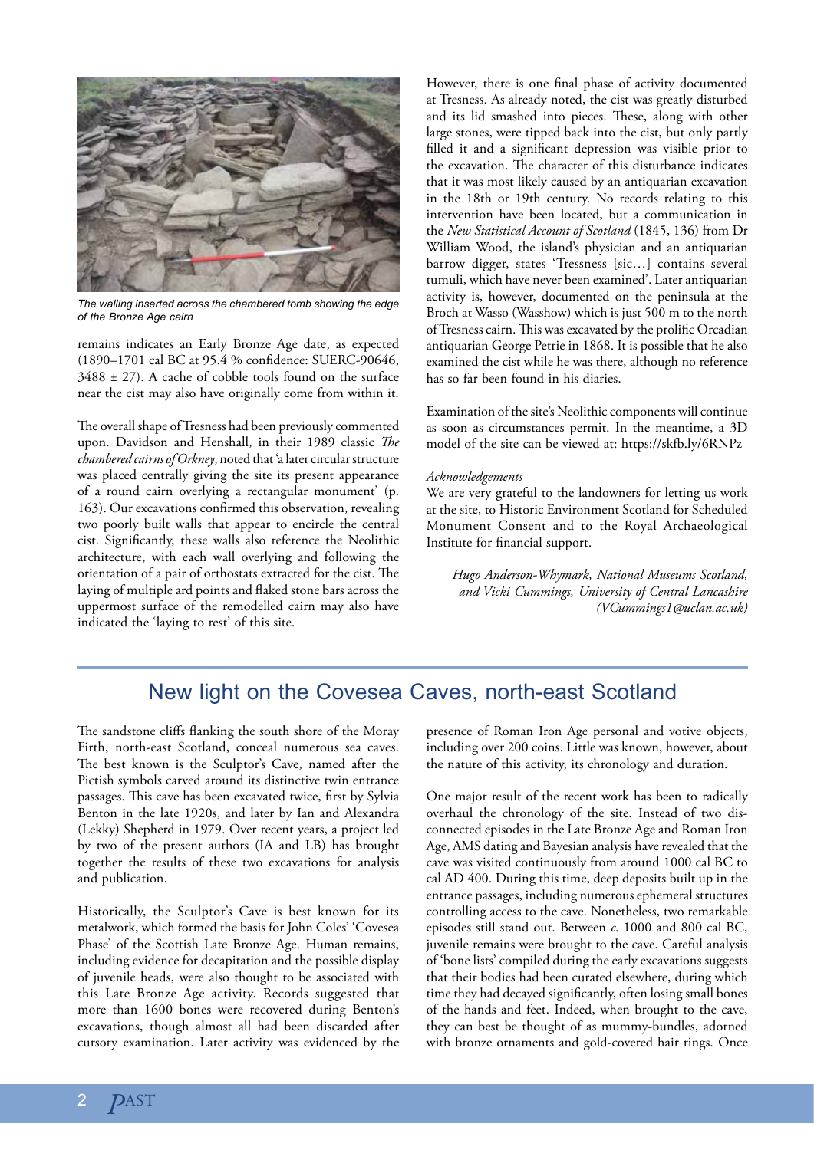

*The walling inserted across the chambered tomb showing the edge of the Bronze Age cairn*

remains indicates an Early Bronze Age date, as expected (1890–1701 cal BC at 95.4 % confidence: SUERC-90646,  $3488 \pm 27$ ). A cache of cobble tools found on the surface near the cist may also have originally come from within it.

The overall shape of Tresness had been previously commented upon. Davidson and Henshall, in their 1989 classic *The chambered cairns of Orkney*, noted that 'a later circular structure was placed centrally giving the site its present appearance of a round cairn overlying a rectangular monument' (p. 163). Our excavations confirmed this observation, revealing two poorly built walls that appear to encircle the central cist. Significantly, these walls also reference the Neolithic architecture, with each wall overlying and following the orientation of a pair of orthostats extracted for the cist. The laying of multiple ard points and flaked stone bars across the uppermost surface of the remodelled cairn may also have indicated the 'laying to rest' of this site.

However, there is one final phase of activity documented at Tresness. As already noted, the cist was greatly disturbed and its lid smashed into pieces. These, along with other large stones, were tipped back into the cist, but only partly filled it and a significant depression was visible prior to the excavation. The character of this disturbance indicates that it was most likely caused by an antiquarian excavation in the 18th or 19th century. No records relating to this intervention have been located, but a communication in the *New Statistical Account of Scotland* (1845, 136) from Dr William Wood, the island's physician and an antiquarian barrow digger, states 'Tressness [sic…] contains several tumuli, which have never been examined'. Later antiquarian activity is, however, documented on the peninsula at the Broch at Wasso (Wasshow) which is just 500 m to the north of Tresness cairn. This was excavated by the prolific Orcadian antiquarian George Petrie in 1868. It is possible that he also examined the cist while he was there, although no reference has so far been found in his diaries.

Examination of the site's Neolithic components will continue as soon as circumstances permit. In the meantime, a 3D model of the site can be viewed at: https://skfb.ly/6RNPz

#### *Acknowledgements*

We are very grateful to the landowners for letting us work at the site, to Historic Environment Scotland for Scheduled Monument Consent and to the Royal Archaeological Institute for financial support.

*Hugo Anderson-Whymark, National Museums Scotland, and Vicki Cummings, University of Central Lancashire (VCummings1@uclan.ac.uk)*

## New light on the Covesea Caves, north-east Scotland

The sandstone cliffs flanking the south shore of the Moray Firth, north-east Scotland, conceal numerous sea caves. The best known is the Sculptor's Cave, named after the Pictish symbols carved around its distinctive twin entrance passages. This cave has been excavated twice, first by Sylvia Benton in the late 1920s, and later by Ian and Alexandra (Lekky) Shepherd in 1979. Over recent years, a project led by two of the present authors (IA and LB) has brought together the results of these two excavations for analysis and publication.

Historically, the Sculptor's Cave is best known for its metalwork, which formed the basis for John Coles' 'Covesea Phase' of the Scottish Late Bronze Age. Human remains, including evidence for decapitation and the possible display of juvenile heads, were also thought to be associated with this Late Bronze Age activity. Records suggested that more than 1600 bones were recovered during Benton's excavations, though almost all had been discarded after cursory examination. Later activity was evidenced by the presence of Roman Iron Age personal and votive objects, including over 200 coins. Little was known, however, about the nature of this activity, its chronology and duration.

One major result of the recent work has been to radically overhaul the chronology of the site. Instead of two disconnected episodes in the Late Bronze Age and Roman Iron Age, AMS dating and Bayesian analysis have revealed that the cave was visited continuously from around 1000 cal BC to cal AD 400. During this time, deep deposits built up in the entrance passages, including numerous ephemeral structures controlling access to the cave. Nonetheless, two remarkable episodes still stand out. Between *c*. 1000 and 800 cal BC, juvenile remains were brought to the cave. Careful analysis of 'bone lists' compiled during the early excavations suggests that their bodies had been curated elsewhere, during which time they had decayed significantly, often losing small bones of the hands and feet. Indeed, when brought to the cave, they can best be thought of as mummy-bundles, adorned with bronze ornaments and gold-covered hair rings. Once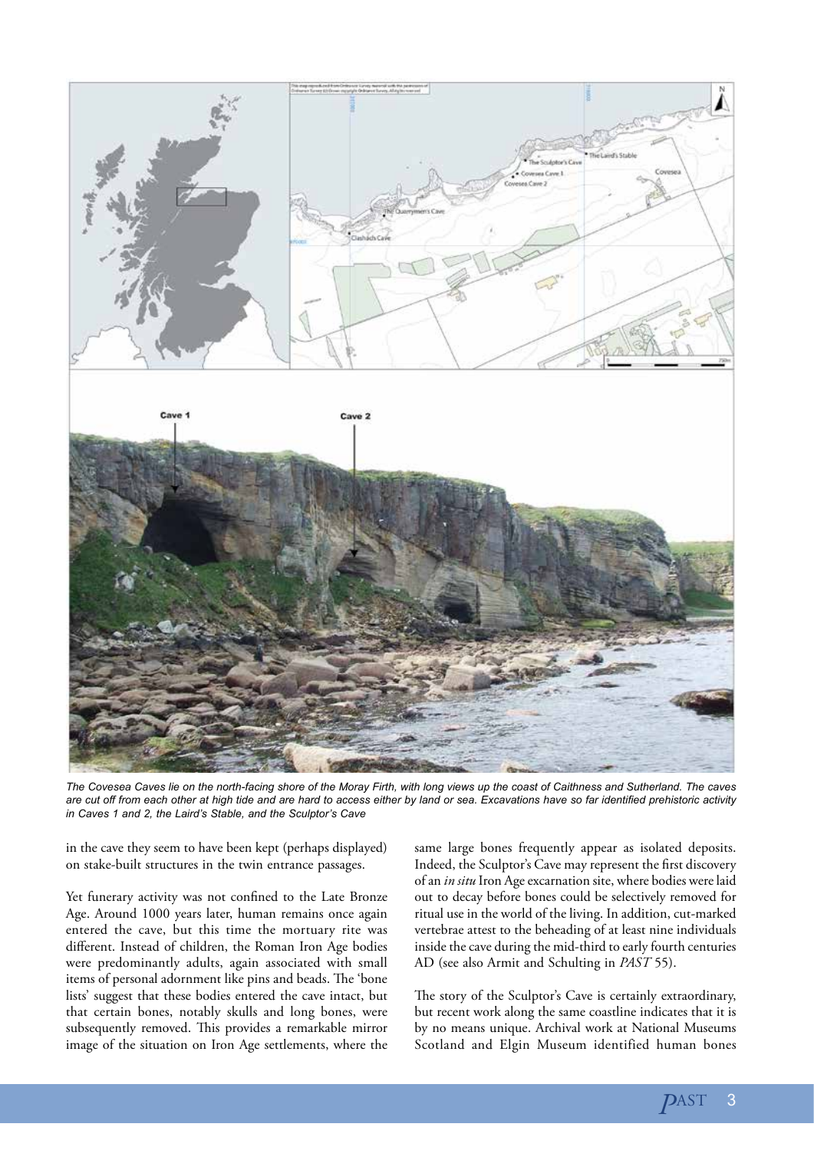

*The Covesea Caves lie on the north-facing shore of the Moray Firth, with long views up the coast of Caithness and Sutherland. The caves are cut off from each other at high tide and are hard to access either by land or sea. Excavations have so far identified prehistoric activity in Caves 1 and 2, the Laird's Stable, and the Sculptor's Cave*

in the cave they seem to have been kept (perhaps displayed) on stake-built structures in the twin entrance passages.

Yet funerary activity was not confined to the Late Bronze Age. Around 1000 years later, human remains once again entered the cave, but this time the mortuary rite was different. Instead of children, the Roman Iron Age bodies were predominantly adults, again associated with small items of personal adornment like pins and beads. The 'bone lists' suggest that these bodies entered the cave intact, but that certain bones, notably skulls and long bones, were subsequently removed. This provides a remarkable mirror image of the situation on Iron Age settlements, where the

same large bones frequently appear as isolated deposits. Indeed, the Sculptor's Cave may represent the first discovery of an *in situ* Iron Age excarnation site, where bodies were laid out to decay before bones could be selectively removed for ritual use in the world of the living. In addition, cut-marked vertebrae attest to the beheading of at least nine individuals inside the cave during the mid-third to early fourth centuries AD (see also Armit and Schulting in *PAST* 55).

The story of the Sculptor's Cave is certainly extraordinary, but recent work along the same coastline indicates that it is by no means unique. Archival work at National Museums Scotland and Elgin Museum identified human bones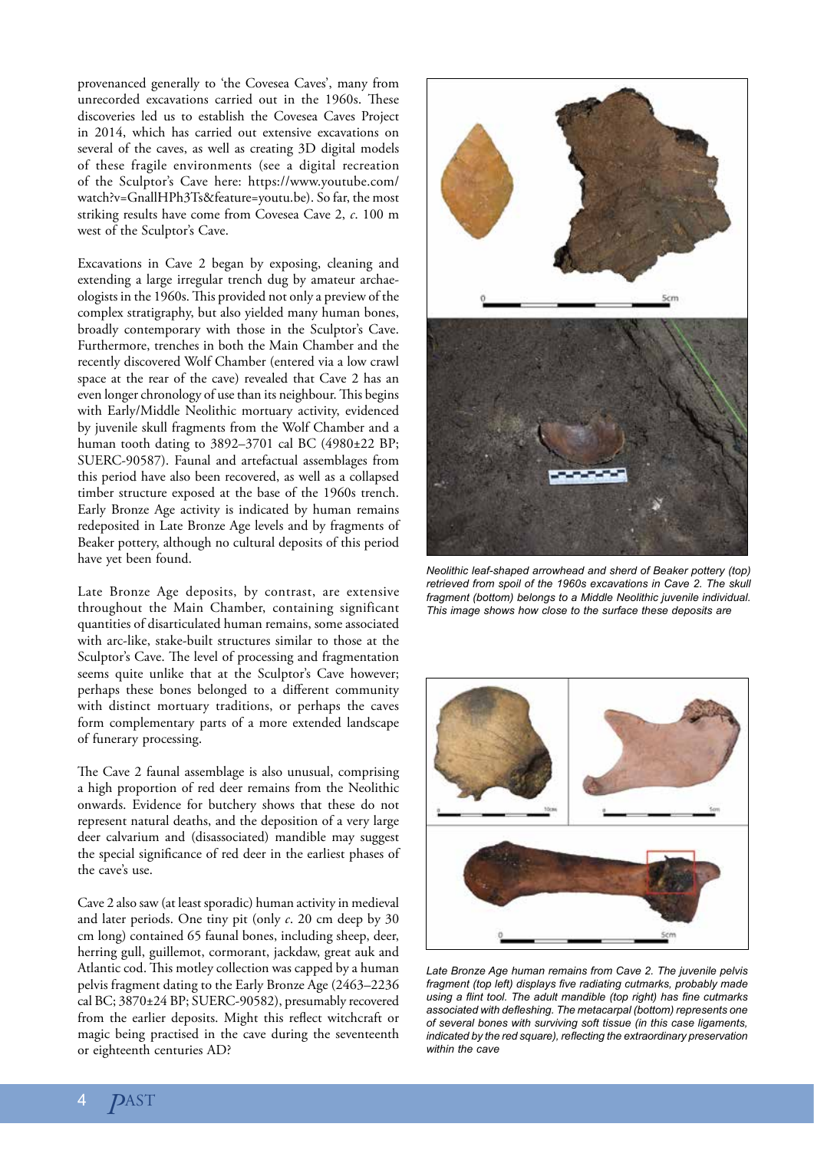provenanced generally to 'the Covesea Caves', many from unrecorded excavations carried out in the 1960s. These discoveries led us to establish the Covesea Caves Project in 2014, which has carried out extensive excavations on several of the caves, as well as creating 3D digital models of these fragile environments (see a digital recreation of the Sculptor's Cave here: https://www.youtube.com/ watch?v=GnallHPh3Ts&feature=youtu.be). So far, the most striking results have come from Covesea Cave 2, *c*. 100 m west of the Sculptor's Cave.

Excavations in Cave 2 began by exposing, cleaning and extending a large irregular trench dug by amateur archaeologists in the 1960s. This provided not only a preview of the complex stratigraphy, but also yielded many human bones, broadly contemporary with those in the Sculptor's Cave. Furthermore, trenches in both the Main Chamber and the recently discovered Wolf Chamber (entered via a low crawl space at the rear of the cave) revealed that Cave 2 has an even longer chronology of use than its neighbour. This begins with Early/Middle Neolithic mortuary activity, evidenced by juvenile skull fragments from the Wolf Chamber and a human tooth dating to 3892–3701 cal BC (4980±22 BP; SUERC-90587). Faunal and artefactual assemblages from this period have also been recovered, as well as a collapsed timber structure exposed at the base of the 1960s trench. Early Bronze Age activity is indicated by human remains redeposited in Late Bronze Age levels and by fragments of Beaker pottery, although no cultural deposits of this period have yet been found.

Late Bronze Age deposits, by contrast, are extensive throughout the Main Chamber, containing significant quantities of disarticulated human remains, some associated with arc-like, stake-built structures similar to those at the Sculptor's Cave. The level of processing and fragmentation seems quite unlike that at the Sculptor's Cave however; perhaps these bones belonged to a different community with distinct mortuary traditions, or perhaps the caves form complementary parts of a more extended landscape of funerary processing.

The Cave 2 faunal assemblage is also unusual, comprising a high proportion of red deer remains from the Neolithic onwards. Evidence for butchery shows that these do not represent natural deaths, and the deposition of a very large deer calvarium and (disassociated) mandible may suggest the special significance of red deer in the earliest phases of the cave's use.

Cave 2 also saw (at least sporadic) human activity in medieval and later periods. One tiny pit (only *c*. 20 cm deep by 30 cm long) contained 65 faunal bones, including sheep, deer, herring gull, guillemot, cormorant, jackdaw, great auk and Atlantic cod. This motley collection was capped by a human pelvis fragment dating to the Early Bronze Age (2463–2236 cal BC; 3870±24 BP; SUERC-90582), presumably recovered from the earlier deposits. Might this reflect witchcraft or magic being practised in the cave during the seventeenth or eighteenth centuries AD?



*Neolithic leaf-shaped arrowhead and sherd of Beaker pottery (top) retrieved from spoil of the 1960s excavations in Cave 2. The skull fragment (bottom) belongs to a Middle Neolithic juvenile individual. This image shows how close to the surface these deposits are*



*Late Bronze Age human remains from Cave 2. The juvenile pelvis fragment (top left) displays five radiating cutmarks, probably made using a flint tool. The adult mandible (top right) has fine cutmarks associated with defleshing. The metacarpal (bottom) represents one of several bones with surviving soft tissue (in this case ligaments, indicated by the red square), reflecting the extraordinary preservation within the cave*